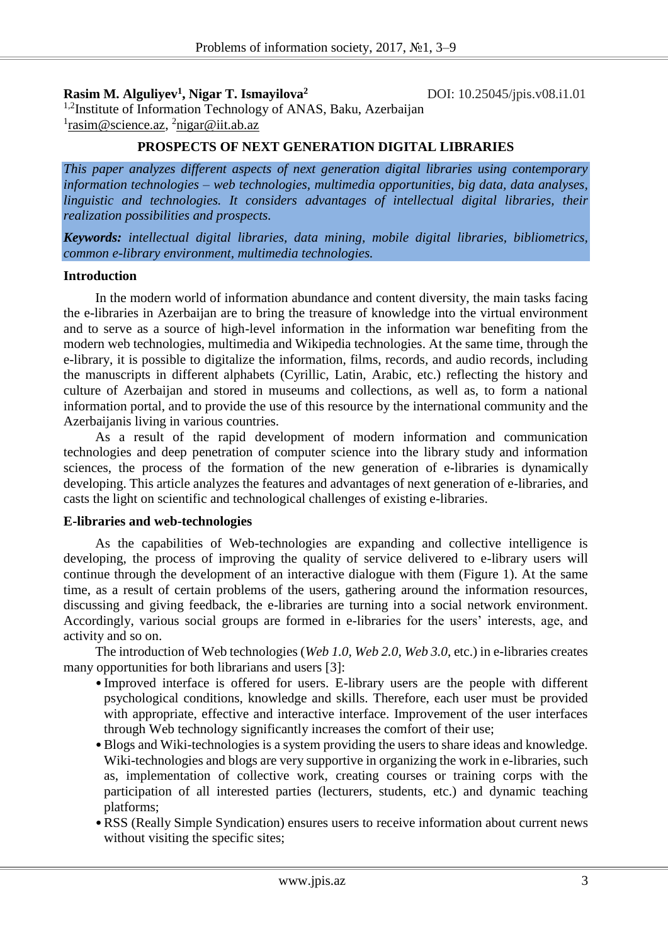**Rasim M. Alguliyev<sup>1</sup> , Nigar T. Ismayilova<sup>2</sup>**

DOI: 10.25045/jpis.v08.i1.01

<sup>1,2</sup>Institute of Information Technology of ANAS, Baku, Azerbaijan <sup>1</sup>rasim@science.az, <sup>2</sup>nigar@iit.ab.az

# **PROSPECTS OF NEXT GENERATION DIGITAL LIBRARIES**

*This paper analyzes different aspects of next generation digital libraries using contemporary information technologies – web technologies, multimedia opportunities, big data, data analyses, linguistic and technologies. It considers advantages of intellectual digital libraries, their realization possibilities and prospects.*

*Keywords: intellectual digital libraries, data mining, mobile digital libraries, bibliometrics, common e-library environment, multimedia technologies.*

## **Introduction**

In the modern world of information abundance and content diversity, the main tasks facing the e-libraries in Azerbaijan are to bring the treasure of knowledge into the virtual environment and to serve as a source of high-level information in the information war benefiting from the modern web technologies, multimedia and Wikipedia technologies. At the same time, through the e-library, it is possible to digitalize the information, films, records, and audio records, including the manuscripts in different alphabets (Cyrillic, Latin, Arabic, etc.) reflecting the history and culture of Azerbaijan and stored in museums and collections, as well as, to form a national information portal, and to provide the use of this resource by the international community and the Azerbaijanis living in various countries.

As a result of the rapid development of modern information and communication technologies and deep penetration of computer science into the library study and information sciences, the process of the formation of the new generation of e-libraries is dynamically developing. This article analyzes the features and advantages of next generation of e-libraries, and casts the light on scientific and technological challenges of existing e-libraries.

## **E-libraries and web-technologies**

As the capabilities of Web-technologies are expanding and collective intelligence is developing, the process of improving the quality of service delivered to e-library users will continue through the development of an interactive dialogue with them (Figure 1). At the same time, as a result of certain problems of the users, gathering around the information resources, discussing and giving feedback, the e-libraries are turning into a social network environment. Accordingly, various social groups are formed in e-libraries for the users' interests, age, and activity and so on.

The introduction of Web technologies (*Web 1.0, Web 2.0, Web 3.0*, etc.) in e-libraries creates many opportunities for both librarians and users [3]:

- Improved interface is offered for users. E-library users are the people with different psychological conditions, knowledge and skills. Therefore, each user must be provided with appropriate, effective and interactive interface. Improvement of the user interfaces through Web technology significantly increases the comfort of their use;
- •Blogs and Wiki-technologies is a system providing the users to share ideas and knowledge. Wiki-technologies and blogs are very supportive in organizing the work in e-libraries, such as, implementation of collective work, creating courses or training corps with the participation of all interested parties (lecturers, students, etc.) and dynamic teaching platforms;
- •RSS (Really Simple Syndication) ensures users to receive information about current news without visiting the specific sites;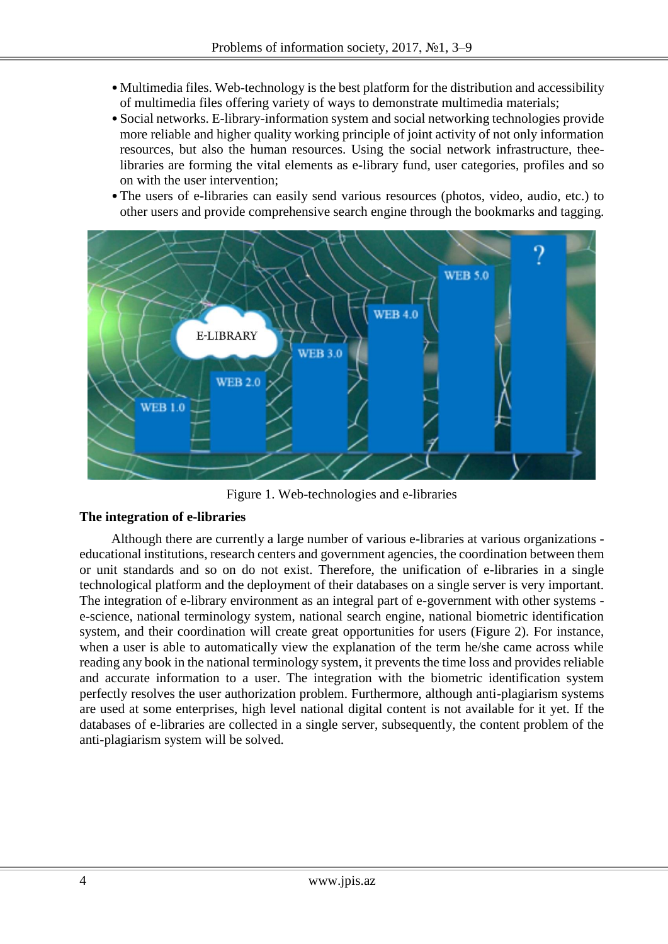- Multimedia files. Web-technology is the best platform for the distribution and accessibility of multimedia files offering variety of ways to demonstrate multimedia materials;
- Social networks. E-library-information system and social networking technologies provide more reliable and higher quality working principle of joint activity of not only information resources, but also the human resources. Using the social network infrastructure, theelibraries are forming the vital elements as e-library fund, user categories, profiles and so on with the user intervention;
- •The users of e-libraries can easily send various resources (photos, video, audio, etc.) to other users and provide comprehensive search engine through the bookmarks and tagging.



Figure 1. Web-technologies and e-libraries

# **The integration of e-libraries**

Although there are currently a large number of various e-libraries at various organizations educational institutions, research centers and government agencies, the coordination between them or unit standards and so on do not exist. Therefore, the unification of e-libraries in a single technological platform and the deployment of their databases on a single server is very important. The integration of e-library environment as an integral part of e-government with other systems e-science, national terminology system, national search engine, national biometric identification system, and their coordination will create great opportunities for users (Figure 2). For instance, when a user is able to automatically view the explanation of the term he/she came across while reading any book in the national terminology system, it prevents the time loss and provides reliable and accurate information to a user. The integration with the biometric identification system perfectly resolves the user authorization problem. Furthermore, although anti-plagiarism systems are used at some enterprises, high level national digital content is not available for it yet. If the databases of e-libraries are collected in a single server, subsequently, the content problem of the anti-plagiarism system will be solved.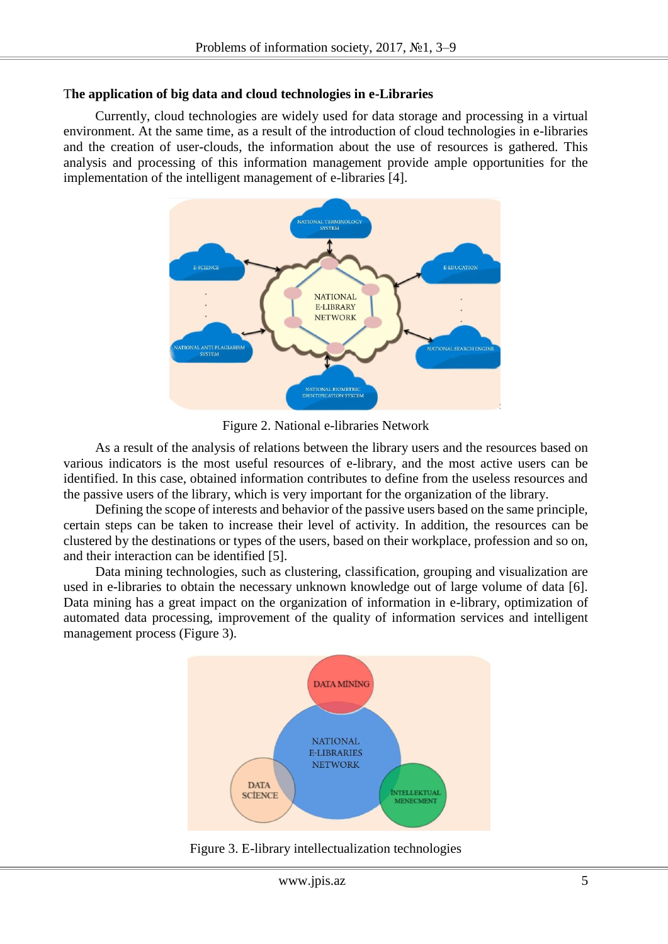## T**he application of big data and cloud technologies in e-Libraries**

Currently, cloud technologies are widely used for data storage and processing in a virtual environment. At the same time, as a result of the introduction of cloud technologies in e-libraries and the creation of user-clouds, the information about the use of resources is gathered. This analysis and processing of this information management provide ample opportunities for the implementation of the intelligent management of e-libraries [4].



Figure 2. National e-libraries Network

As a result of the analysis of relations between the library users and the resources based on various indicators is the most useful resources of e-library, and the most active users can be identified. In this case, obtained information contributes to define from the useless resources and the passive users of the library, which is very important for the organization of the library.

Defining the scope of interests and behavior of the passive users based on the same principle, certain steps can be taken to increase their level of activity. In addition, the resources can be clustered by the destinations or types of the users, based on their workplace, profession and so on, and their interaction can be identified [5].

Data mining technologies, such as clustering, classification, grouping and visualization are used in e-libraries to obtain the necessary unknown knowledge out of large volume of data [6]. Data mining has a great impact on the organization of information in e-library, optimization of automated data processing, improvement of the quality of information services and intelligent management process (Figure 3).



Figure 3. E-library intellectualization technologies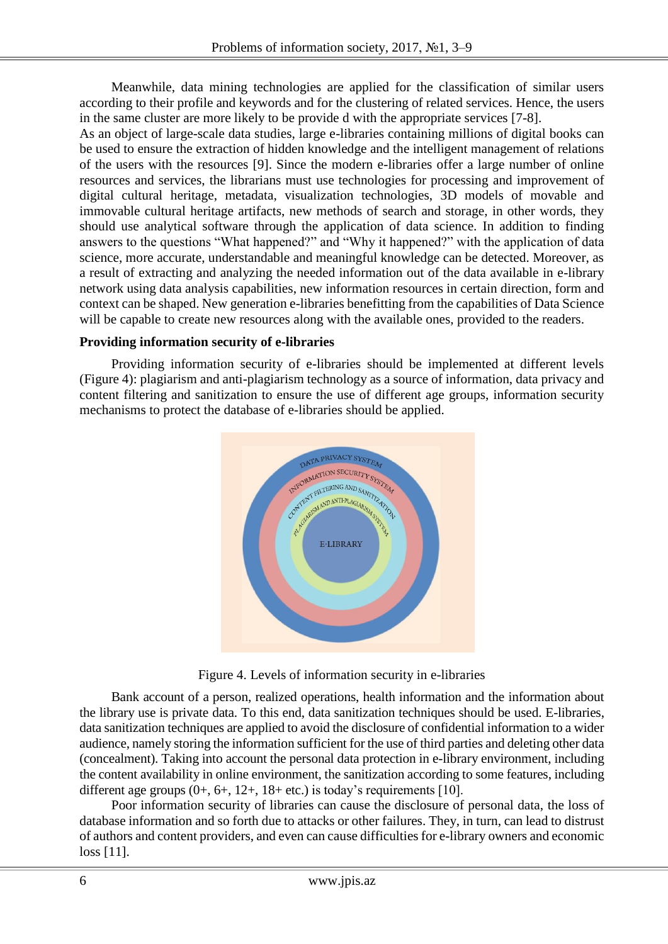Meanwhile, data mining technologies are applied for the classification of similar users according to their profile and keywords and for the clustering of related services. Hence, the users in the same cluster are more likely to be provide d with the appropriate services [7-8].

As an object of large-scale data studies, large e-libraries containing millions of digital books can be used to ensure the extraction of hidden knowledge and the intelligent management of relations of the users with the resources [9]. Since the modern e-libraries offer a large number of online resources and services, the librarians must use technologies for processing and improvement of digital cultural heritage, metadata, visualization technologies, 3D models of movable and immovable cultural heritage artifacts, new methods of search and storage, in other words, they should use analytical software through the application of data science. In addition to finding answers to the questions "What happened?" and "Why it happened?" with the application of data science, more accurate, understandable and meaningful knowledge can be detected. Moreover, as a result of extracting and analyzing the needed information out of the data available in e-library network using data analysis capabilities, new information resources in certain direction, form and context can be shaped. New generation e-libraries benefitting from the capabilities of Data Science will be capable to create new resources along with the available ones, provided to the readers.

#### **Providing information security of e-libraries**

Providing information security of e-libraries should be implemented at different levels (Figure 4): plagiarism and anti-plagiarism technology as a source of information, data privacy and content filtering and sanitization to ensure the use of different age groups, information security mechanisms to protect the database of e-libraries should be applied.



Figure 4. Levels of information security in e-libraries

Bank account of a person, realized operations, health information and the information about the library use is private data. To this end, data sanitization techniques should be used. E-libraries, data sanitization techniques are applied to avoid the disclosure of confidential information to a wider audience, namely storing the information sufficient for the use of third parties and deleting other data (concealment). Taking into account the personal data protection in e-library environment, including the content availability in online environment, the sanitization according to some features, including different age groups  $(0+, 6+, 12+, 18+$  etc.) is today's requirements [10].

Poor information security of libraries can cause the disclosure of personal data, the loss of database information and so forth due to attacks or other failures. They, in turn, can lead to distrust of authors and content providers, and even can cause difficulties for e-library owners and economic loss [11].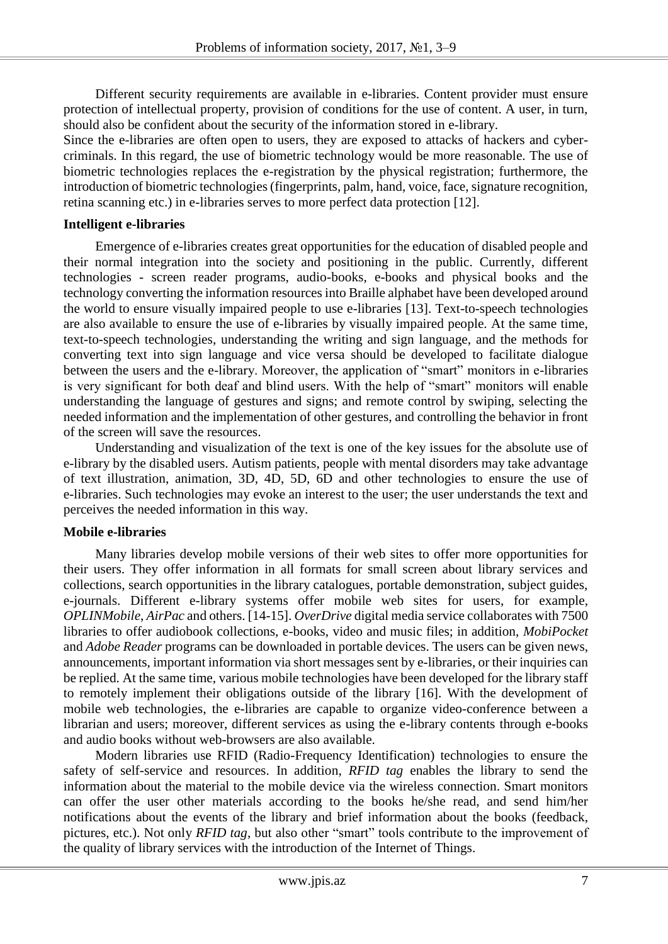Different security requirements are available in e-libraries. Content provider must ensure protection of intellectual property, provision of conditions for the use of content. A user, in turn, should also be confident about the security of the information stored in e-library.

Since the e-libraries are often open to users, they are exposed to attacks of hackers and cybercriminals. In this regard, the use of biometric technology would be more reasonable. The use of biometric technologies replaces the e-registration by the physical registration; furthermore, the introduction of biometric technologies (fingerprints, palm, hand, voice, face, signature recognition, retina scanning etc.) in e-libraries serves to more perfect data protection [12].

## **Intelligent e-libraries**

Emergence of e-libraries creates great opportunities for the education of disabled people and their normal integration into the society and positioning in the public. Currently, different technologies - screen reader programs, audio-books, e-books and physical books and the technology converting the information resources into Braille alphabet have been developed around the world to ensure visually impaired people to use e-libraries [13]. Text-to-speech technologies are also available to ensure the use of e-libraries by visually impaired people. At the same time, text-to-speech technologies, understanding the writing and sign language, and the methods for converting text into sign language and vice versa should be developed to facilitate dialogue between the users and the e-library. Moreover, the application of "smart" monitors in e-libraries is very significant for both deaf and blind users. With the help of "smart" monitors will enable understanding the language of gestures and signs; and remote control by swiping, selecting the needed information and the implementation of other gestures, and controlling the behavior in front of the screen will save the resources.

Understanding and visualization of the text is one of the key issues for the absolute use of e-library by the disabled users. Autism patients, people with mental disorders may take advantage of text illustration, animation, 3D, 4D, 5D, 6D and other technologies to ensure the use of e-libraries. Such technologies may evoke an interest to the user; the user understands the text and perceives the needed information in this way.

# **Mobile e-libraries**

Many libraries develop mobile versions of their web sites to offer more opportunities for their users. They offer information in all formats for small screen about library services and collections, search opportunities in the library catalogues, portable demonstration, subject guides, e-journals. Different e-library systems offer mobile web sites for users, for example, *OPLINMobile*, *AirPac* and others. [14-15]. *OverDrive* digital media service collaborates with 7500 libraries to offer audiobook collections, e-books, video and music files; in addition, *MobiPocket* and *Adobe Reader* programs can be downloaded in portable devices. The users can be given news, announcements, important information via short messages sent by e-libraries, or their inquiries can be replied. At the same time, various mobile technologies have been developed for the library staff to remotely implement their obligations outside of the library [16]. With the development of mobile web technologies, the e-libraries are capable to organize video-conference between a librarian and users; moreover, different services as using the e-library contents through e-books and audio books without web-browsers are also available.

Modern libraries use RFID (Radio-Frequency Identification) technologies to ensure the safety of self-service and resources. In addition, *RFID tag* enables the library to send the information about the material to the mobile device via the wireless connection. Smart monitors can offer the user other materials according to the books he/she read, and send him/her notifications about the events of the library and brief information about the books (feedback, pictures, etc.). Not only *RFID tag*, but also other "smart" tools contribute to the improvement of the quality of library services with the introduction of the Internet of Things.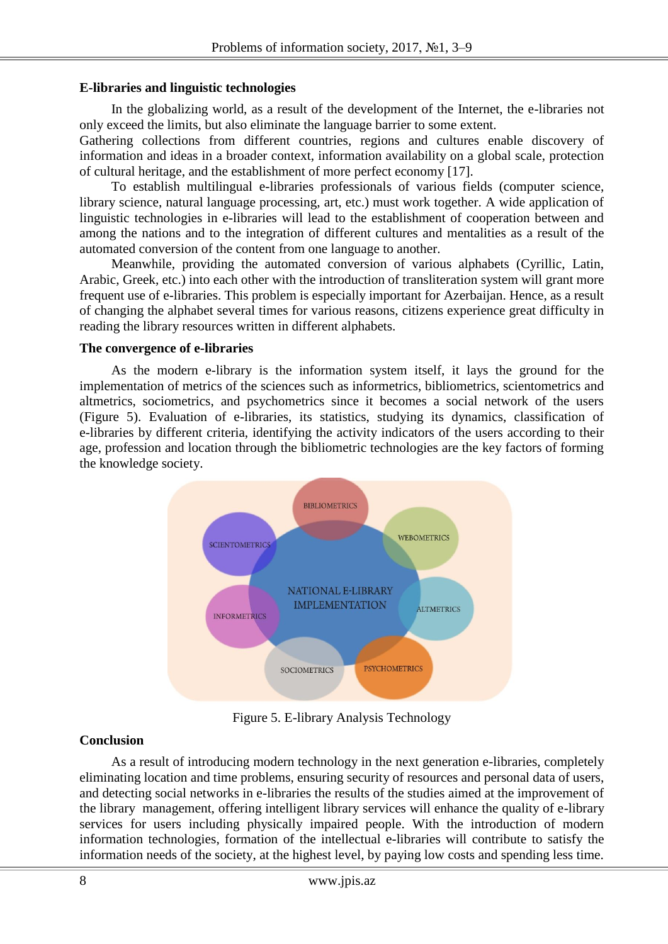## **E-libraries and linguistic technologies**

In the globalizing world, as a result of the development of the Internet, the e-libraries not only exceed the limits, but also eliminate the language barrier to some extent.

Gathering collections from different countries, regions and cultures enable discovery of information and ideas in a broader context, information availability on a global scale, protection of cultural heritage, and the establishment of more perfect economy [17].

To establish multilingual e-libraries professionals of various fields (computer science, library science, natural language processing, art, etc.) must work together. A wide application of linguistic technologies in e-libraries will lead to the establishment of cooperation between and among the nations and to the integration of different cultures and mentalities as a result of the automated conversion of the content from one language to another.

Meanwhile, providing the automated conversion of various alphabets (Cyrillic, Latin, Arabic, Greek, etc.) into each other with the introduction of transliteration system will grant more frequent use of e-libraries. This problem is especially important for Azerbaijan. Hence, as a result of changing the alphabet several times for various reasons, citizens experience great difficulty in reading the library resources written in different alphabets.

#### **The convergence of e-libraries**

As the modern e-library is the information system itself, it lays the ground for the implementation of metrics of the sciences such as informetrics, bibliometrics, scientometrics and altmetrics, sociometrics, and psychometrics since it becomes a social network of the users (Figure 5). Evaluation of e-libraries, its statistics, studying its dynamics, classification of e-libraries by different criteria, identifying the activity indicators of the users according to their age, profession and location through the bibliometric technologies are the key factors of forming the knowledge society.



Figure 5. E-library Analysis Technology

# **Conclusion**

As a result of introducing modern technology in the next generation e-libraries, completely eliminating location and time problems, ensuring security of resources and personal data of users, and detecting social networks in e-libraries the results of the studies aimed at the improvement of the library management, offering intelligent library services will enhance the quality of e-library services for users including physically impaired people. With the introduction of modern information technologies, formation of the intellectual e-libraries will contribute to satisfy the information needs of the society, at the highest level, by paying low costs and spending less time.